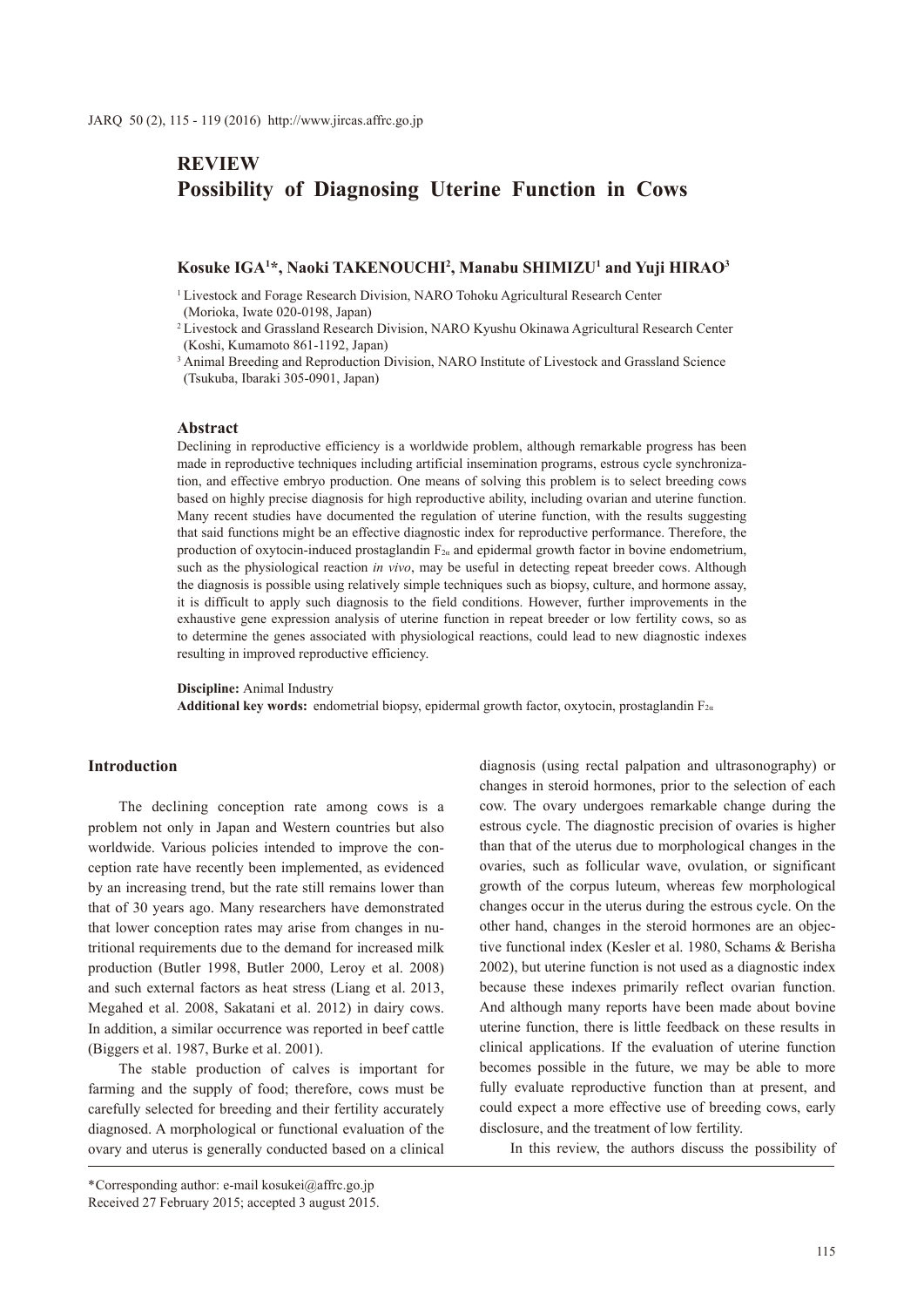# **REVIEW Possibility of Diagnosing Uterine Function in Cows**

### **Kosuke IGA1 \*, Naoki TAKENOUCHI2 , Manabu SHIMIZU1 and Yuji HIRAO3**

- <sup>1</sup> Livestock and Forage Research Division, NARO Tohoku Agricultural Research Center (Morioka, Iwate 020-0198, Japan)
- <sup>2</sup> Livestock and Grassland Research Division, NARO Kyushu Okinawa Agricultural Research Center (Koshi, Kumamoto 861-1192, Japan)

<sup>3</sup> Animal Breeding and Reproduction Division, NARO Institute of Livestock and Grassland Science (Tsukuba, Ibaraki 305-0901, Japan)

#### **Abstract**

Declining in reproductive efficiency is a worldwide problem, although remarkable progress has been made in reproductive techniques including artificial insemination programs, estrous cycle synchronization, and effective embryo production. One means of solving this problem is to select breeding cows based on highly precise diagnosis for high reproductive ability, including ovarian and uterine function. Many recent studies have documented the regulation of uterine function, with the results suggesting that said functions might be an effective diagnostic index for reproductive performance. Therefore, the production of oxytocin-induced prostaglandin  $F_{2\alpha}$  and epidermal growth factor in bovine endometrium, such as the physiological reaction *in vivo*, may be useful in detecting repeat breeder cows. Although the diagnosis is possible using relatively simple techniques such as biopsy, culture, and hormone assay, it is difficult to apply such diagnosis to the field conditions. However, further improvements in the exhaustive gene expression analysis of uterine function in repeat breeder or low fertility cows, so as to determine the genes associated with physiological reactions, could lead to new diagnostic indexes resulting in improved reproductive efficiency.

**Discipline:** Animal Industry

**Additional key words:** endometrial biopsy, epidermal growth factor, oxytocin, prostaglandin  $F_{2a}$ 

#### **Introduction**

The declining conception rate among cows is a problem not only in Japan and Western countries but also worldwide. Various policies intended to improve the conception rate have recently been implemented, as evidenced by an increasing trend, but the rate still remains lower than that of 30 years ago. Many researchers have demonstrated that lower conception rates may arise from changes in nutritional requirements due to the demand for increased milk production (Butler 1998, Butler 2000, Leroy et al. 2008) and such external factors as heat stress (Liang et al. 2013, Megahed et al. 2008, Sakatani et al. 2012) in dairy cows. In addition, a similar occurrence was reported in beef cattle (Biggers et al. 1987, Burke et al. 2001).

The stable production of calves is important for farming and the supply of food; therefore, cows must be carefully selected for breeding and their fertility accurately diagnosed. A morphological or functional evaluation of the ovary and uterus is generally conducted based on a clinical

diagnosis (using rectal palpation and ultrasonography) or changes in steroid hormones, prior to the selection of each cow. The ovary undergoes remarkable change during the estrous cycle. The diagnostic precision of ovaries is higher than that of the uterus due to morphological changes in the ovaries, such as follicular wave, ovulation, or significant growth of the corpus luteum, whereas few morphological changes occur in the uterus during the estrous cycle. On the other hand, changes in the steroid hormones are an objective functional index (Kesler et al. 1980, Schams & Berisha 2002), but uterine function is not used as a diagnostic index because these indexes primarily reflect ovarian function. And although many reports have been made about bovine uterine function, there is little feedback on these results in clinical applications. If the evaluation of uterine function becomes possible in the future, we may be able to more fully evaluate reproductive function than at present, and could expect a more effective use of breeding cows, early disclosure, and the treatment of low fertility.

In this review, the authors discuss the possibility of

<sup>\*</sup>Corresponding author: e-mail kosukei@affrc.go.jp Received 27 February 2015; accepted 3 august 2015.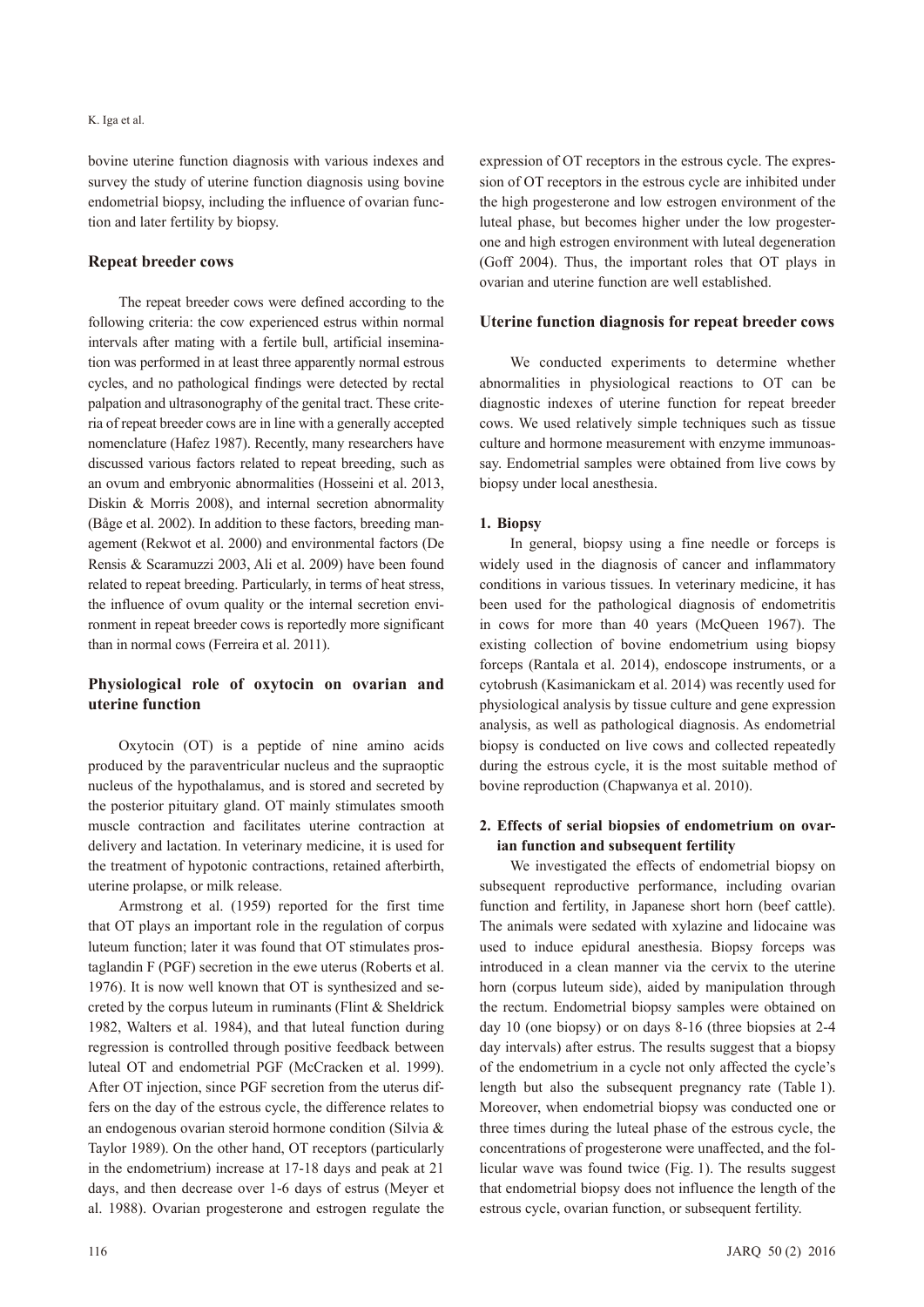#### K. Iga et al.

bovine uterine function diagnosis with various indexes and survey the study of uterine function diagnosis using bovine endometrial biopsy, including the influence of ovarian function and later fertility by biopsy.

### **Repeat breeder cows**

The repeat breeder cows were defined according to the following criteria: the cow experienced estrus within normal intervals after mating with a fertile bull, artificial insemination was performed in at least three apparently normal estrous cycles, and no pathological findings were detected by rectal palpation and ultrasonography of the genital tract. These criteria of repeat breeder cows are in line with a generally accepted nomenclature (Hafez 1987). Recently, many researchers have discussed various factors related to repeat breeding, such as an ovum and embryonic abnormalities (Hosseini et al. 2013, Diskin & Morris 2008), and internal secretion abnormality (Båge et al. 2002). In addition to these factors, breeding management (Rekwot et al. 2000) and environmental factors (De Rensis & Scaramuzzi 2003, Ali et al. 2009) have been found related to repeat breeding. Particularly, in terms of heat stress, the influence of ovum quality or the internal secretion environment in repeat breeder cows is reportedly more significant than in normal cows (Ferreira et al. 2011).

## **Physiological role of oxytocin on ovarian and uterine function**

Oxytocin (OT) is a peptide of nine amino acids produced by the paraventricular nucleus and the supraoptic nucleus of the hypothalamus, and is stored and secreted by the posterior pituitary gland. OT mainly stimulates smooth muscle contraction and facilitates uterine contraction at delivery and lactation. In veterinary medicine, it is used for the treatment of hypotonic contractions, retained afterbirth, uterine prolapse, or milk release.

Armstrong et al. (1959) reported for the first time that OT plays an important role in the regulation of corpus luteum function; later it was found that OT stimulates prostaglandin F (PGF) secretion in the ewe uterus (Roberts et al. 1976). It is now well known that OT is synthesized and secreted by the corpus luteum in ruminants (Flint & Sheldrick 1982, Walters et al. 1984), and that luteal function during regression is controlled through positive feedback between luteal OT and endometrial PGF (McCracken et al. 1999). After OT injection, since PGF secretion from the uterus differs on the day of the estrous cycle, the difference relates to an endogenous ovarian steroid hormone condition (Silvia & Taylor 1989). On the other hand, OT receptors (particularly in the endometrium) increase at 17-18 days and peak at 21 days, and then decrease over 1-6 days of estrus (Meyer et al. 1988). Ovarian progesterone and estrogen regulate the

expression of OT receptors in the estrous cycle. The expression of OT receptors in the estrous cycle are inhibited under the high progesterone and low estrogen environment of the luteal phase, but becomes higher under the low progesterone and high estrogen environment with luteal degeneration (Goff 2004). Thus, the important roles that OT plays in ovarian and uterine function are well established.

#### **Uterine function diagnosis for repeat breeder cows**

We conducted experiments to determine whether abnormalities in physiological reactions to OT can be diagnostic indexes of uterine function for repeat breeder cows. We used relatively simple techniques such as tissue culture and hormone measurement with enzyme immunoassay. Endometrial samples were obtained from live cows by biopsy under local anesthesia.

#### **1. Biopsy**

In general, biopsy using a fine needle or forceps is widely used in the diagnosis of cancer and inflammatory conditions in various tissues. In veterinary medicine, it has been used for the pathological diagnosis of endometritis in cows for more than 40 years (McQueen 1967). The existing collection of bovine endometrium using biopsy forceps (Rantala et al. 2014), endoscope instruments, or a cytobrush (Kasimanickam et al. 2014) was recently used for physiological analysis by tissue culture and gene expression analysis, as well as pathological diagnosis. As endometrial biopsy is conducted on live cows and collected repeatedly during the estrous cycle, it is the most suitable method of bovine reproduction (Chapwanya et al. 2010).

## **2. Effects of serial biopsies of endometrium on ovarian function and subsequent fertility**

We investigated the effects of endometrial biopsy on subsequent reproductive performance, including ovarian function and fertility, in Japanese short horn (beef cattle). The animals were sedated with xylazine and lidocaine was used to induce epidural anesthesia. Biopsy forceps was introduced in a clean manner via the cervix to the uterine horn (corpus luteum side), aided by manipulation through the rectum. Endometrial biopsy samples were obtained on day 10 (one biopsy) or on days 8-16 (three biopsies at 2-4 day intervals) after estrus. The results suggest that a biopsy of the endometrium in a cycle not only affected the cycle's length but also the subsequent pregnancy rate (Table 1). Moreover, when endometrial biopsy was conducted one or three times during the luteal phase of the estrous cycle, the concentrations of progesterone were unaffected, and the follicular wave was found twice (Fig. 1). The results suggest that endometrial biopsy does not influence the length of the estrous cycle, ovarian function, or subsequent fertility.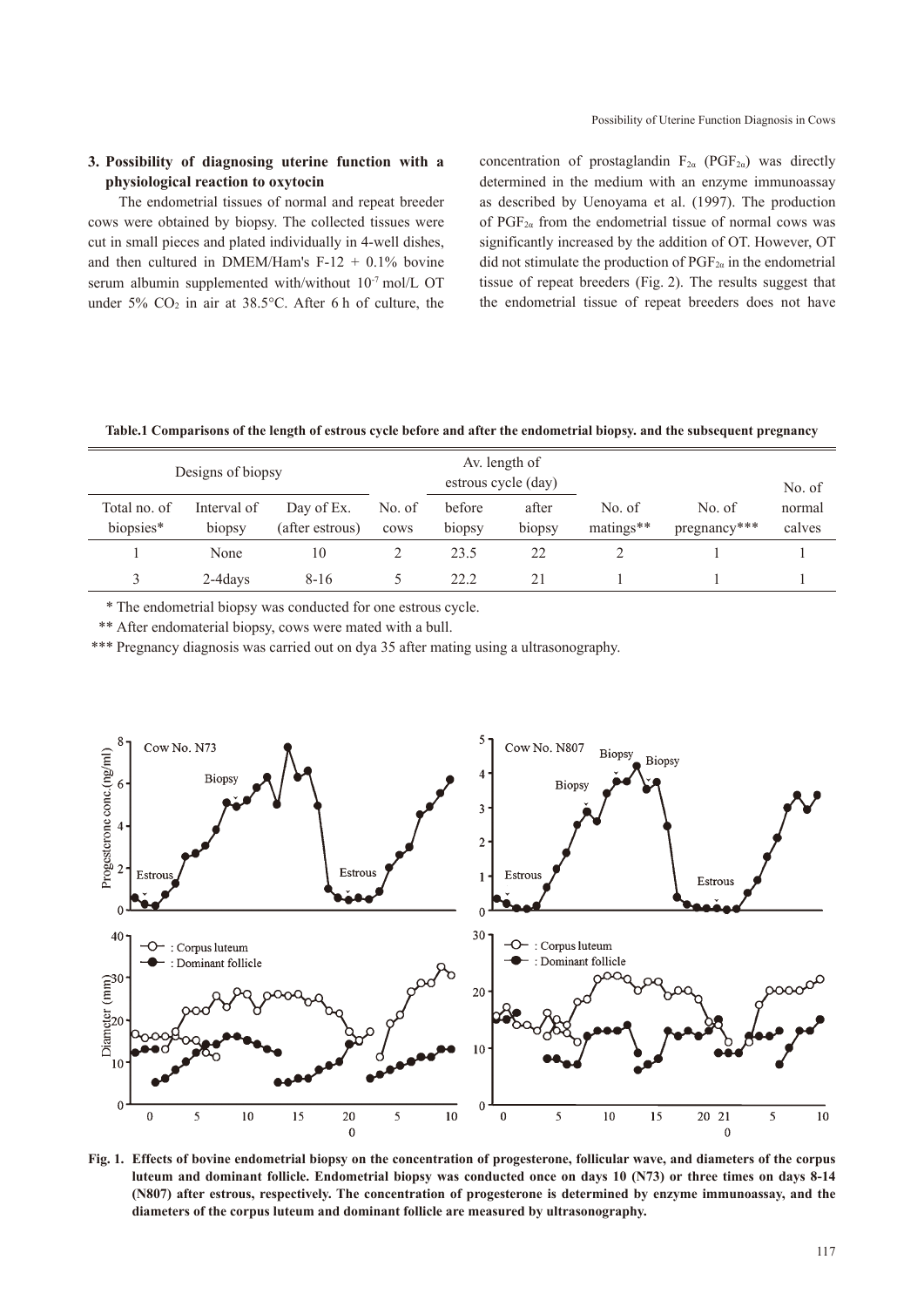## **3. Possibility of diagnosing uterine function with a physiological reaction to oxytocin**

The endometrial tissues of normal and repeat breeder cows were obtained by biopsy. The collected tissues were cut in small pieces and plated individually in 4-well dishes, and then cultured in DMEM/Ham's  $F-12 + 0.1\%$  bovine serum albumin supplemented with/without 10<sup>-7</sup> mol/L OT under 5%  $CO<sub>2</sub>$  in air at 38.5°C. After 6 h of culture, the concentration of prostaglandin  $F_{2\alpha}$  (PGF<sub>2a</sub>) was directly determined in the medium with an enzyme immunoassay as described by Uenoyama et al. (1997). The production of  $PGF_{2a}$  from the endometrial tissue of normal cows was significantly increased by the addition of OT. However, OT did not stimulate the production of  $PGF_{2\alpha}$  in the endometrial tissue of repeat breeders (Fig. 2). The results suggest that the endometrial tissue of repeat breeders does not have

**Table.1 Comparisons of the length of estrous cycle before and after the endometrial biopsy. and the subsequent pregnancy**

| Designs of biopsy         | Av. length of<br>estrous cycle (day) |                               |                |                  |                 | No. of              |                        |                  |
|---------------------------|--------------------------------------|-------------------------------|----------------|------------------|-----------------|---------------------|------------------------|------------------|
| Total no. of<br>biopsies* | Interval of<br>b <sub>1</sub> opsy   | Day of Ex.<br>(after estrous) | No. of<br>cows | before<br>biopsy | after<br>biopsy | No. of<br>matings** | No. of<br>pregnancy*** | normal<br>calves |
|                           | None                                 | 10                            |                | 23.5             | 22              |                     |                        |                  |
| 3                         | 2-4 days                             | $8 - 16$                      |                | 22.2             | 21              |                     |                        |                  |

\* The endometrial biopsy was conducted for one estrous cycle.

\*\* After endomaterial biopsy, cows were mated with a bull.

\*\*\* Pregnancy diagnosis was carried out on dya 35 after mating using a ultrasonography.



**Fig. 1. Effects of bovine endometrial biopsy on the concentration of progesterone, follicular wave, and diameters of the corpus luteum and dominant follicle. Endometrial biopsy was conducted once on days 10 (N73) or three times on days 8-14 (N807) after estrous, respectively. The concentration of progesterone is determined by enzyme immunoassay, and the diameters of the corpus luteum and dominant follicle are measured by ultrasonography.**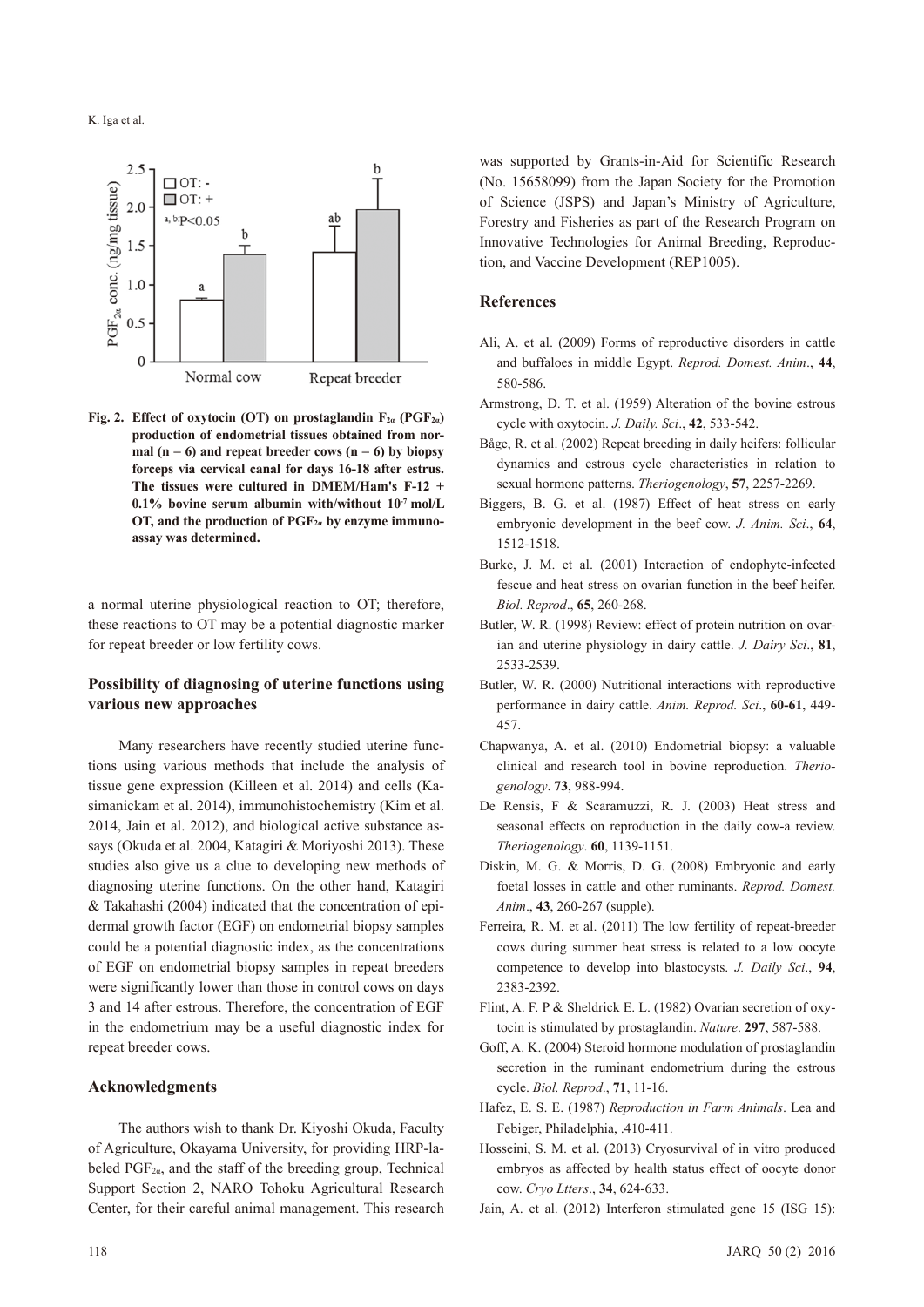K. Iga et al.



**Fig. 2. Effect of oxytocin (OT) on prostaglandin F2α (PGF2α) production of endometrial tissues obtained from nor**mal  $(n = 6)$  and repeat breeder cows  $(n = 6)$  by biopsy **forceps via cervical canal for days 16-18 after estrus. The tissues were cultured in DMEM/Ham's F-12 + 0.1% bovine serum albumin with/without 10-7 mol/L OT, and the production of PGF2α by enzyme immunoassay was determined.**

a normal uterine physiological reaction to OT; therefore, these reactions to OT may be a potential diagnostic marker for repeat breeder or low fertility cows.

## **Possibility of diagnosing of uterine functions using various new approaches**

Many researchers have recently studied uterine functions using various methods that include the analysis of tissue gene expression (Killeen et al. 2014) and cells (Kasimanickam et al. 2014), immunohistochemistry (Kim et al. 2014, Jain et al. 2012), and biological active substance assays (Okuda et al. 2004, Katagiri & Moriyoshi 2013). These studies also give us a clue to developing new methods of diagnosing uterine functions. On the other hand, Katagiri & Takahashi (2004) indicated that the concentration of epidermal growth factor (EGF) on endometrial biopsy samples could be a potential diagnostic index, as the concentrations of EGF on endometrial biopsy samples in repeat breeders were significantly lower than those in control cows on days 3 and 14 after estrous. Therefore, the concentration of EGF in the endometrium may be a useful diagnostic index for repeat breeder cows.

#### **Acknowledgments**

The authors wish to thank Dr. Kiyoshi Okuda, Faculty of Agriculture, Okayama University, for providing HRP-labeled  $PGF_{2\alpha}$ , and the staff of the breeding group, Technical Support Section 2, NARO Tohoku Agricultural Research Center, for their careful animal management. This research

was supported by Grants-in-Aid for Scientific Research (No. 15658099) from the Japan Society for the Promotion of Science (JSPS) and Japan's Ministry of Agriculture, Forestry and Fisheries as part of the Research Program on Innovative Technologies for Animal Breeding, Reproduction, and Vaccine Development (REP1005).

### **References**

- Ali, A. et al. (2009) Forms of reproductive disorders in cattle and buffaloes in middle Egypt. *Reprod. Domest. Anim*., **44**, 580-586.
- Armstrong, D. T. et al. (1959) Alteration of the bovine estrous cycle with oxytocin. *J. Daily. Sci*., **42**, 533-542.
- Båge, R. et al. (2002) Repeat breeding in daily heifers: follicular dynamics and estrous cycle characteristics in relation to sexual hormone patterns. *Theriogenology*, **57**, 2257-2269.
- Biggers, B. G. et al. (1987) Effect of heat stress on early embryonic development in the beef cow. *J. Anim. Sci*., **64**, 1512-1518.
- Burke, J. M. et al. (2001) Interaction of endophyte-infected fescue and heat stress on ovarian function in the beef heifer. *Biol. Reprod*., **65**, 260-268.
- Butler, W. R. (1998) Review: effect of protein nutrition on ovarian and uterine physiology in dairy cattle. *J. Dairy Sci*., **81**, 2533-2539.
- Butler, W. R. (2000) Nutritional interactions with reproductive performance in dairy cattle. *Anim. Reprod. Sci*., **60-61**, 449- 457.
- Chapwanya, A. et al. (2010) Endometrial biopsy: a valuable clinical and research tool in bovine reproduction. *Theriogenology*. **73**, 988-994.
- De Rensis, F & Scaramuzzi, R. J. (2003) Heat stress and seasonal effects on reproduction in the daily cow-a review. *Theriogenology*. **60**, 1139-1151.
- Diskin, M. G. & Morris, D. G. (2008) Embryonic and early foetal losses in cattle and other ruminants. *Reprod. Domest. Anim*., **43**, 260-267 (supple).
- Ferreira, R. M. et al. (2011) The low fertility of repeat-breeder cows during summer heat stress is related to a low oocyte competence to develop into blastocysts. *J. Daily Sci*., **94**, 2383-2392.
- Flint, A. F. P & Sheldrick E. L. (1982) Ovarian secretion of oxytocin is stimulated by prostaglandin. *Nature*. **297**, 587-588.
- Goff, A. K. (2004) Steroid hormone modulation of prostaglandin secretion in the ruminant endometrium during the estrous cycle. *Biol. Reprod*., **71**, 11-16.
- Hafez, E. S. E. (1987) *Reproduction in Farm Animals*. Lea and Febiger, Philadelphia, .410-411.
- Hosseini, S. M. et al. (2013) Cryosurvival of in vitro produced embryos as affected by health status effect of oocyte donor cow. *Cryo Ltters*., **34**, 624-633.
- Jain, A. et al. (2012) Interferon stimulated gene 15 (ISG 15):